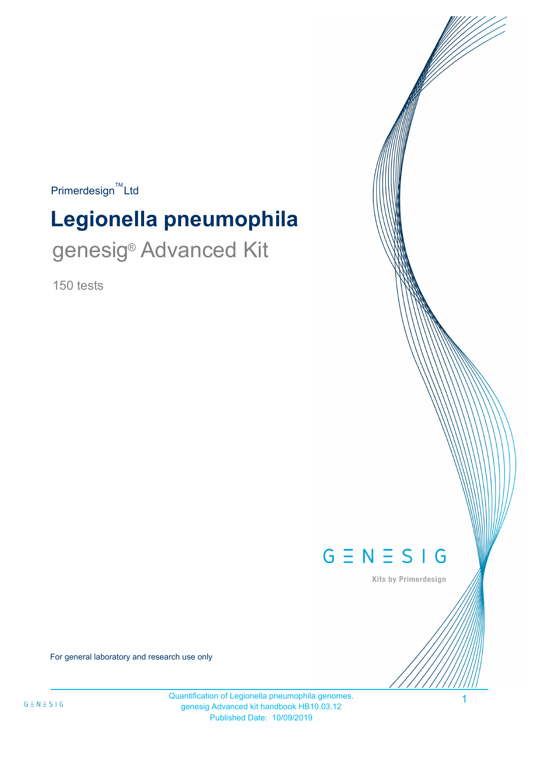$Primerdesign^{\text{TM}}$ Ltd

# **Legionella pneumophila** genesig<sup>®</sup> Advanced Kit

150 tests



Kits by Primerdesign

1

For general laboratory and research use only

Quantification of Legionella pneumophila genomes. genesig Advanced kit handbook HB10.03.12 Published Date: 10/09/2019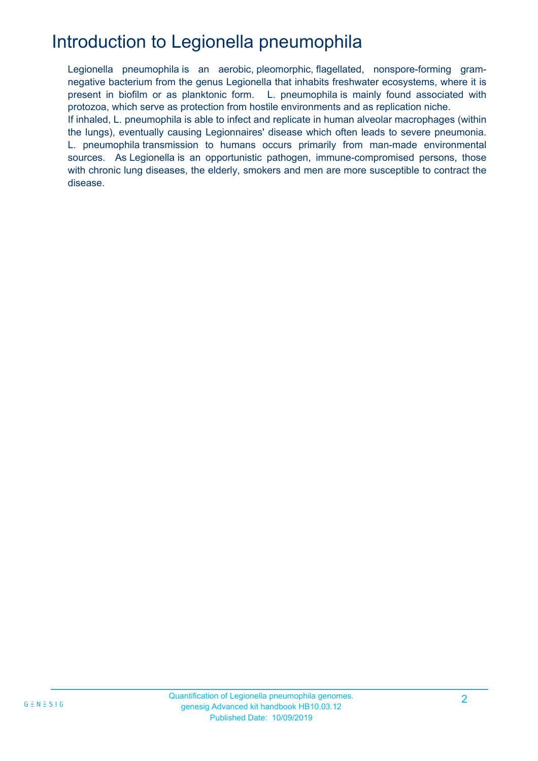# Introduction to Legionella pneumophila

Legionella pneumophila is an aerobic, pleomorphic, flagellated, nonspore-forming gramnegative bacterium from the genus Legionella that inhabits freshwater ecosystems, where it is present in biofilm or as planktonic form. L. pneumophila is mainly found associated with protozoa, which serve as protection from hostile environments and as replication niche. If inhaled, L. pneumophila is able to infect and replicate in human alveolar macrophages (within the lungs), eventually causing Legionnaires' disease which often leads to severe pneumonia. L. pneumophila transmission to humans occurs primarily from man-made environmental sources. As Legionella is an opportunistic pathogen, immune-compromised persons, those with chronic lung diseases, the elderly, smokers and men are more susceptible to contract the disease.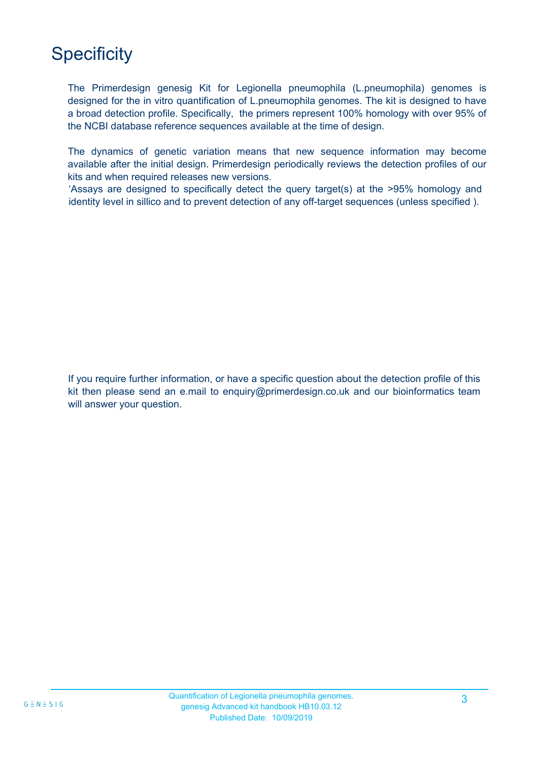# **Specificity**

MAX MIN The Primerdesign genesig Kit for Legionella pneumophila (L.pneumophila) genomes is designed for the in vitro quantification of L.pneumophila genomes. The kit is designed to have a broad detection profile. Specifically, the primers represent 100% homology with over 95% of the NCBI database reference sequences available at the time of design.

The dynamics of genetic variation means that new sequence information may become available after the initial design. Primerdesign periodically reviews the detection profiles of our kits and when required releases new versions.

'Assays are designed to specifically detect the query target(s) at the >95% homology and identity level in sillico and to prevent detection of any off-target sequences (unless specified ).

If you require further information, or have a specific question about the detection profile of this kit then please send an e.mail to enquiry@primerdesign.co.uk and our bioinformatics team will answer your question.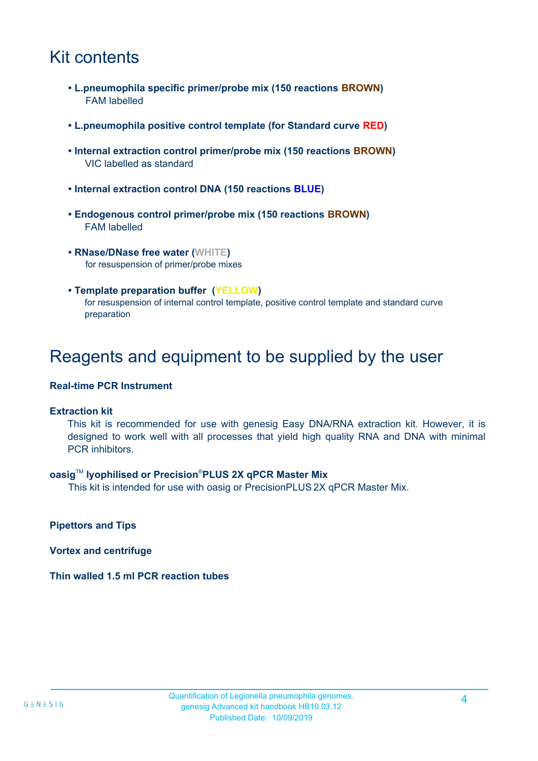## Kit contents

- **L.pneumophila specific primer/probe mix (150 reactions BROWN)** FAM labelled
- **L.pneumophila positive control template (for Standard curve RED)**
- **Internal extraction control primer/probe mix (150 reactions BROWN)** VIC labelled as standard
- **Internal extraction control DNA (150 reactions BLUE)**
- **Endogenous control primer/probe mix (150 reactions BROWN)** FAM labelled
- **RNase/DNase free water (WHITE)** for resuspension of primer/probe mixes
- **Template preparation buffer (YELLOW)** for resuspension of internal control template, positive control template and standard curve preparation

### Reagents and equipment to be supplied by the user

#### **Real-time PCR Instrument**

#### **Extraction kit**

This kit is recommended for use with genesig Easy DNA/RNA extraction kit. However, it is designed to work well with all processes that yield high quality RNA and DNA with minimal PCR inhibitors.

#### **oasig**TM **lyophilised or Precision**®**PLUS 2X qPCR Master Mix**

This kit is intended for use with oasig or PrecisionPLUS 2X qPCR Master Mix.

**Pipettors and Tips**

**Vortex and centrifuge**

**Thin walled 1.5 ml PCR reaction tubes**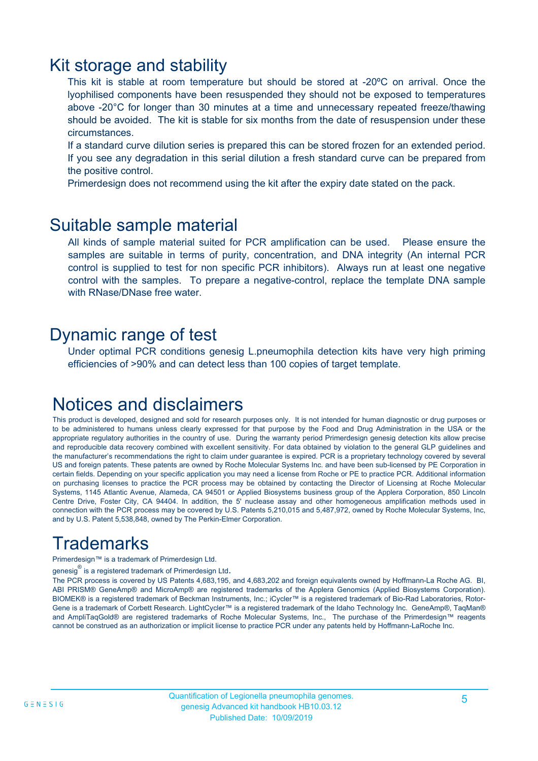### Kit storage and stability

This kit is stable at room temperature but should be stored at -20ºC on arrival. Once the lyophilised components have been resuspended they should not be exposed to temperatures above -20°C for longer than 30 minutes at a time and unnecessary repeated freeze/thawing should be avoided. The kit is stable for six months from the date of resuspension under these circumstances.

If a standard curve dilution series is prepared this can be stored frozen for an extended period. If you see any degradation in this serial dilution a fresh standard curve can be prepared from the positive control.

Primerdesign does not recommend using the kit after the expiry date stated on the pack.

### Suitable sample material

All kinds of sample material suited for PCR amplification can be used. Please ensure the samples are suitable in terms of purity, concentration, and DNA integrity (An internal PCR control is supplied to test for non specific PCR inhibitors). Always run at least one negative control with the samples. To prepare a negative-control, replace the template DNA sample with RNase/DNase free water.

### Dynamic range of test

Under optimal PCR conditions genesig L.pneumophila detection kits have very high priming efficiencies of >90% and can detect less than 100 copies of target template.

### Notices and disclaimers

This product is developed, designed and sold for research purposes only. It is not intended for human diagnostic or drug purposes or to be administered to humans unless clearly expressed for that purpose by the Food and Drug Administration in the USA or the appropriate regulatory authorities in the country of use. During the warranty period Primerdesign genesig detection kits allow precise and reproducible data recovery combined with excellent sensitivity. For data obtained by violation to the general GLP guidelines and the manufacturer's recommendations the right to claim under guarantee is expired. PCR is a proprietary technology covered by several US and foreign patents. These patents are owned by Roche Molecular Systems Inc. and have been sub-licensed by PE Corporation in certain fields. Depending on your specific application you may need a license from Roche or PE to practice PCR. Additional information on purchasing licenses to practice the PCR process may be obtained by contacting the Director of Licensing at Roche Molecular Systems, 1145 Atlantic Avenue, Alameda, CA 94501 or Applied Biosystems business group of the Applera Corporation, 850 Lincoln Centre Drive, Foster City, CA 94404. In addition, the 5' nuclease assay and other homogeneous amplification methods used in connection with the PCR process may be covered by U.S. Patents 5,210,015 and 5,487,972, owned by Roche Molecular Systems, Inc, and by U.S. Patent 5,538,848, owned by The Perkin-Elmer Corporation.

# **Trademarks**

Primerdesign™ is a trademark of Primerdesign Ltd.

genesig $^\circledR$  is a registered trademark of Primerdesign Ltd.

The PCR process is covered by US Patents 4,683,195, and 4,683,202 and foreign equivalents owned by Hoffmann-La Roche AG. BI, ABI PRISM® GeneAmp® and MicroAmp® are registered trademarks of the Applera Genomics (Applied Biosystems Corporation). BIOMEK® is a registered trademark of Beckman Instruments, Inc.; iCycler™ is a registered trademark of Bio-Rad Laboratories, Rotor-Gene is a trademark of Corbett Research. LightCycler™ is a registered trademark of the Idaho Technology Inc. GeneAmp®, TaqMan® and AmpliTaqGold® are registered trademarks of Roche Molecular Systems, Inc., The purchase of the Primerdesign™ reagents cannot be construed as an authorization or implicit license to practice PCR under any patents held by Hoffmann-LaRoche Inc.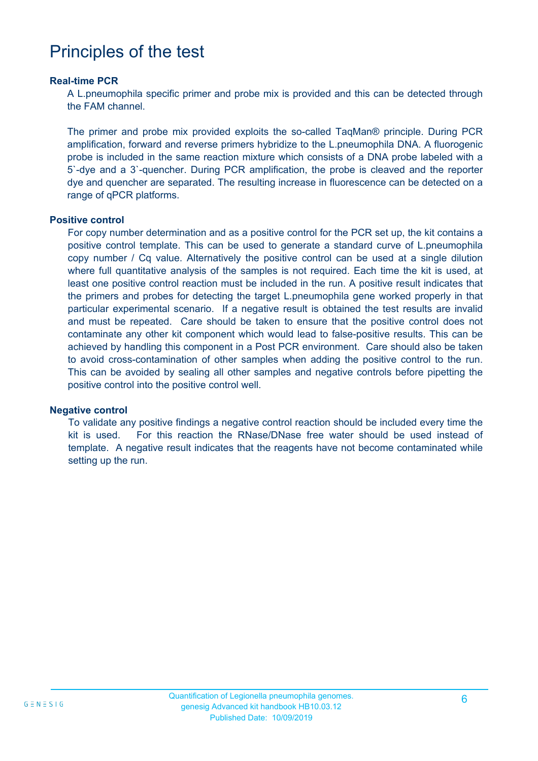## Principles of the test

#### **Real-time PCR**

A L.pneumophila specific primer and probe mix is provided and this can be detected through the FAM channel.

The primer and probe mix provided exploits the so-called TaqMan® principle. During PCR amplification, forward and reverse primers hybridize to the L.pneumophila DNA. A fluorogenic probe is included in the same reaction mixture which consists of a DNA probe labeled with a 5`-dye and a 3`-quencher. During PCR amplification, the probe is cleaved and the reporter dye and quencher are separated. The resulting increase in fluorescence can be detected on a range of qPCR platforms.

#### **Positive control**

For copy number determination and as a positive control for the PCR set up, the kit contains a positive control template. This can be used to generate a standard curve of L.pneumophila copy number / Cq value. Alternatively the positive control can be used at a single dilution where full quantitative analysis of the samples is not required. Each time the kit is used, at least one positive control reaction must be included in the run. A positive result indicates that the primers and probes for detecting the target L.pneumophila gene worked properly in that particular experimental scenario. If a negative result is obtained the test results are invalid and must be repeated. Care should be taken to ensure that the positive control does not contaminate any other kit component which would lead to false-positive results. This can be achieved by handling this component in a Post PCR environment. Care should also be taken to avoid cross-contamination of other samples when adding the positive control to the run. This can be avoided by sealing all other samples and negative controls before pipetting the positive control into the positive control well.

#### **Negative control**

To validate any positive findings a negative control reaction should be included every time the kit is used. For this reaction the RNase/DNase free water should be used instead of template. A negative result indicates that the reagents have not become contaminated while setting up the run.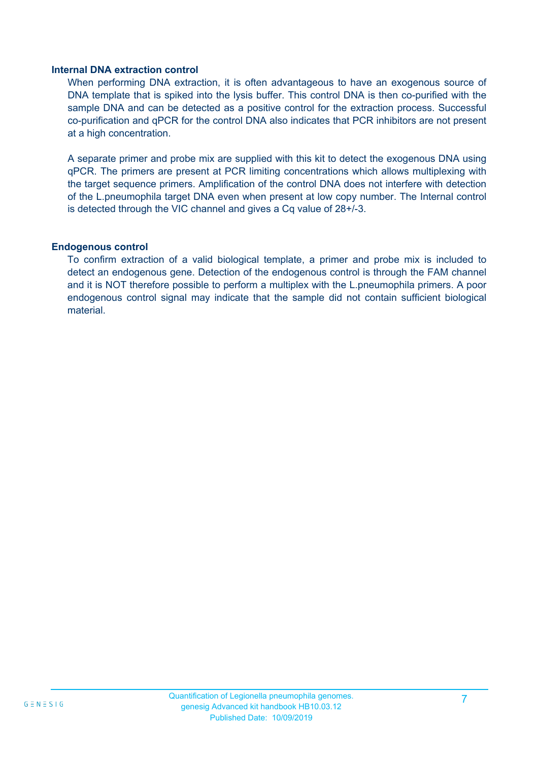#### **Internal DNA extraction control**

When performing DNA extraction, it is often advantageous to have an exogenous source of DNA template that is spiked into the lysis buffer. This control DNA is then co-purified with the sample DNA and can be detected as a positive control for the extraction process. Successful co-purification and qPCR for the control DNA also indicates that PCR inhibitors are not present at a high concentration.

A separate primer and probe mix are supplied with this kit to detect the exogenous DNA using qPCR. The primers are present at PCR limiting concentrations which allows multiplexing with the target sequence primers. Amplification of the control DNA does not interfere with detection of the L.pneumophila target DNA even when present at low copy number. The Internal control is detected through the VIC channel and gives a Cq value of 28+/-3.

#### **Endogenous control**

To confirm extraction of a valid biological template, a primer and probe mix is included to detect an endogenous gene. Detection of the endogenous control is through the FAM channel and it is NOT therefore possible to perform a multiplex with the L.pneumophila primers. A poor endogenous control signal may indicate that the sample did not contain sufficient biological material.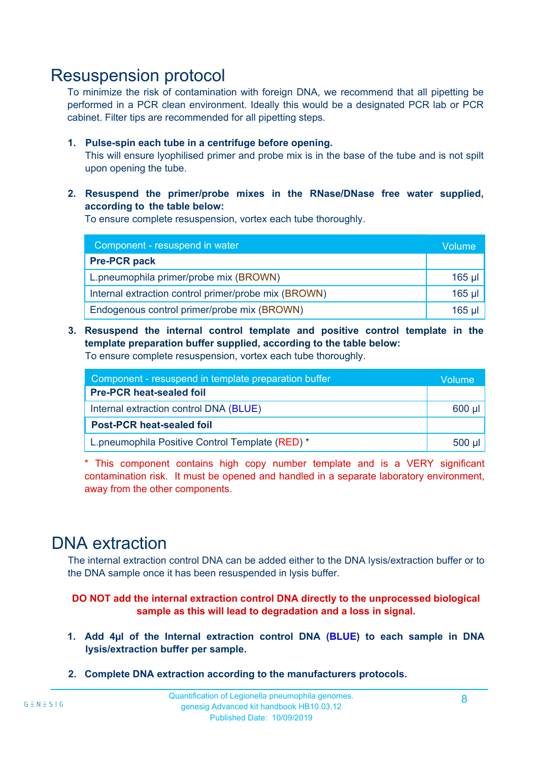### Resuspension protocol

To minimize the risk of contamination with foreign DNA, we recommend that all pipetting be performed in a PCR clean environment. Ideally this would be a designated PCR lab or PCR cabinet. Filter tips are recommended for all pipetting steps.

#### **1. Pulse-spin each tube in a centrifuge before opening.**

This will ensure lyophilised primer and probe mix is in the base of the tube and is not spilt upon opening the tube.

#### **2. Resuspend the primer/probe mixes in the RNase/DNase free water supplied, according to the table below:**

To ensure complete resuspension, vortex each tube thoroughly.

| Component - resuspend in water                       |          |  |  |
|------------------------------------------------------|----------|--|--|
| <b>Pre-PCR pack</b>                                  |          |  |  |
| L.pneumophila primer/probe mix (BROWN)               | $165$ µl |  |  |
| Internal extraction control primer/probe mix (BROWN) | $165$ µl |  |  |
| Endogenous control primer/probe mix (BROWN)          | $165$ µ  |  |  |

**3. Resuspend the internal control template and positive control template in the template preparation buffer supplied, according to the table below:**

To ensure complete resuspension, vortex each tube thoroughly.

| Component - resuspend in template preparation buffer |  |  |
|------------------------------------------------------|--|--|
| <b>Pre-PCR heat-sealed foil</b>                      |  |  |
| Internal extraction control DNA (BLUE)               |  |  |
| <b>Post-PCR heat-sealed foil</b>                     |  |  |
| L.pneumophila Positive Control Template (RED) *      |  |  |

\* This component contains high copy number template and is a VERY significant contamination risk. It must be opened and handled in a separate laboratory environment, away from the other components.

### DNA extraction

The internal extraction control DNA can be added either to the DNA lysis/extraction buffer or to the DNA sample once it has been resuspended in lysis buffer.

**DO NOT add the internal extraction control DNA directly to the unprocessed biological sample as this will lead to degradation and a loss in signal.**

- **1. Add 4µl of the Internal extraction control DNA (BLUE) to each sample in DNA lysis/extraction buffer per sample.**
- **2. Complete DNA extraction according to the manufacturers protocols.**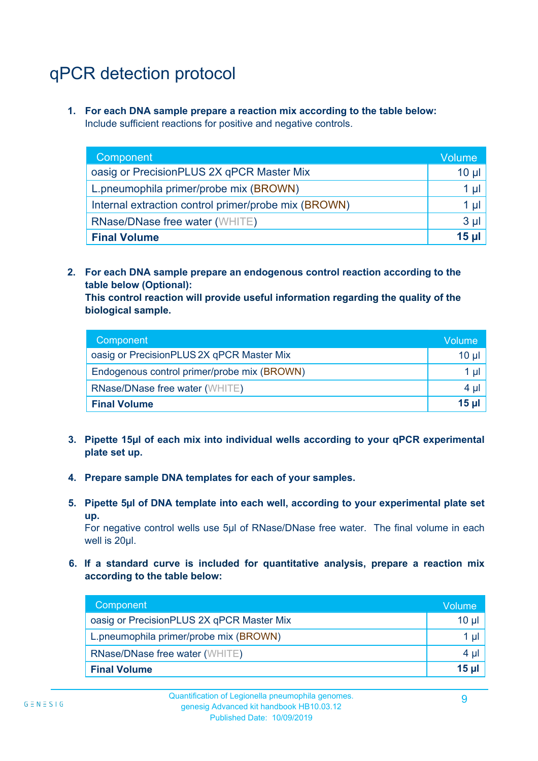# qPCR detection protocol

**1. For each DNA sample prepare a reaction mix according to the table below:** Include sufficient reactions for positive and negative controls.

| Component <sup>'</sup>                               | Volume       |
|------------------------------------------------------|--------------|
| oasig or PrecisionPLUS 2X qPCR Master Mix            | 10 µ $\vert$ |
| L.pneumophila primer/probe mix (BROWN)               | 1 µI ,       |
| Internal extraction control primer/probe mix (BROWN) | 1 $\mu$      |
| <b>RNase/DNase free water (WHITE)</b>                | $3 \mu$      |
| <b>Final Volume</b>                                  | 15 ul        |

**2. For each DNA sample prepare an endogenous control reaction according to the table below (Optional):**

**This control reaction will provide useful information regarding the quality of the biological sample.**

| Component                                   | Volume'         |
|---------------------------------------------|-----------------|
| oasig or PrecisionPLUS 2X qPCR Master Mix   | $10 \mu$        |
| Endogenous control primer/probe mix (BROWN) | 1 µl            |
| <b>RNase/DNase free water (WHITE)</b>       | $4 \mu$         |
| <b>Final Volume</b>                         | 15 <sub>µ</sub> |

- **3. Pipette 15µl of each mix into individual wells according to your qPCR experimental plate set up.**
- **4. Prepare sample DNA templates for each of your samples.**
- **5. Pipette 5µl of DNA template into each well, according to your experimental plate set up.**

For negative control wells use 5µl of RNase/DNase free water. The final volume in each well is 20ul.

**6. If a standard curve is included for quantitative analysis, prepare a reaction mix according to the table below:**

| Component                                 | Volume  |
|-------------------------------------------|---------|
| oasig or PrecisionPLUS 2X qPCR Master Mix | 10 µl   |
| L.pneumophila primer/probe mix (BROWN)    | $1$ µl  |
| <b>RNase/DNase free water (WHITE)</b>     | $4 \mu$ |
| <b>Final Volume</b>                       | $15$ µ  |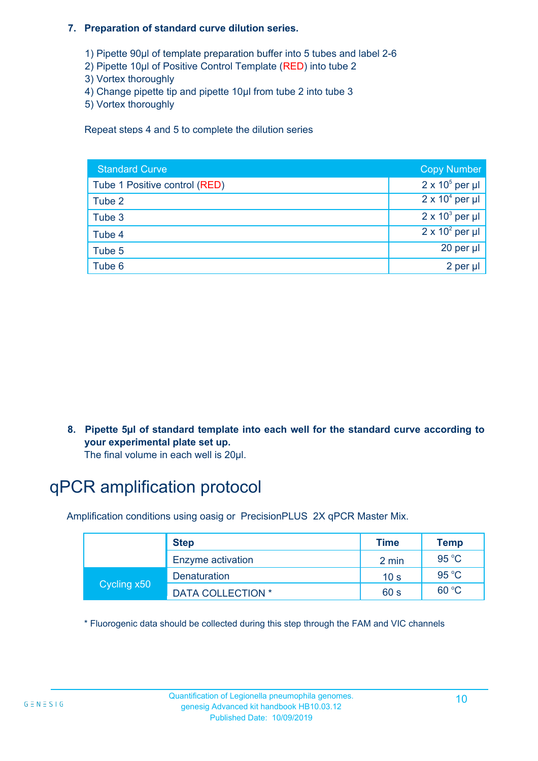#### **7. Preparation of standard curve dilution series.**

- 1) Pipette 90µl of template preparation buffer into 5 tubes and label 2-6
- 2) Pipette 10µl of Positive Control Template (RED) into tube 2
- 3) Vortex thoroughly
- 4) Change pipette tip and pipette 10µl from tube 2 into tube 3
- 5) Vortex thoroughly

Repeat steps 4 and 5 to complete the dilution series International Units No international units  $\frac{1}{2}$ 

| <b>Standard Curve</b>         | <b>Copy Number</b>     |
|-------------------------------|------------------------|
| Tube 1 Positive control (RED) | $2 \times 10^5$ per µl |
| Tube 2                        | $2 \times 10^4$ per µl |
| Tube 3                        | $2 \times 10^3$ per µl |
| Tube 4                        | $2 \times 10^2$ per µl |
| Tube 5                        | 20 per µl              |
| Tube 6                        | 2 per µl               |

**8. Pipette 5µl of standard template into each well for the standard curve according to your experimental plate set up.**

The final volume in each well is 20µl.

# qPCR amplification protocol

Amplification conditions using oasig or PrecisionPLUS 2X qPCR Master Mix.

|             | <b>Step</b>              | <b>Time</b>     | Temp           |
|-------------|--------------------------|-----------------|----------------|
|             | Enzyme activation        | 2 min           | 95 $°C$        |
| Cycling x50 | Denaturation             | 10 <sub>s</sub> | $95^{\circ}$ C |
|             | <b>DATA COLLECTION *</b> | 60 s            | 60 °C          |

\* Fluorogenic data should be collected during this step through the FAM and VIC channels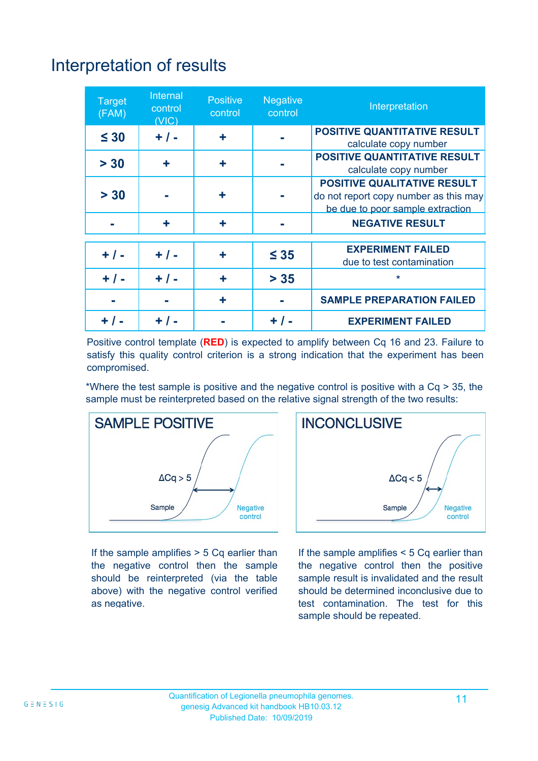# Interpretation of results

| <b>Target</b><br>(FAM) | Internal<br>control<br>(VIC) | <b>Positive</b><br>control | <b>Negative</b><br>control | Interpretation                                                                                                  |
|------------------------|------------------------------|----------------------------|----------------------------|-----------------------------------------------------------------------------------------------------------------|
| $\leq 30$              | $+ / -$                      | ٠                          |                            | <b>POSITIVE QUANTITATIVE RESULT</b><br>calculate copy number                                                    |
| > 30                   | ٠                            | ÷                          |                            | <b>POSITIVE QUANTITATIVE RESULT</b><br>calculate copy number                                                    |
| > 30                   |                              | ÷                          |                            | <b>POSITIVE QUALITATIVE RESULT</b><br>do not report copy number as this may<br>be due to poor sample extraction |
|                        | ٠                            | ÷                          |                            | <b>NEGATIVE RESULT</b>                                                                                          |
| $+ / -$                | $+ 1 -$                      | ٠                          | $\leq 35$                  | <b>EXPERIMENT FAILED</b><br>due to test contamination                                                           |
| $+ 1 -$                | $+ / -$                      | ٠                          | $> 35$                     | *                                                                                                               |
|                        |                              | ٠                          |                            | <b>SAMPLE PREPARATION FAILED</b>                                                                                |
|                        |                              |                            | + / -                      | <b>EXPERIMENT FAILED</b>                                                                                        |

Positive control template (**RED**) is expected to amplify between Cq 16 and 23. Failure to satisfy this quality control criterion is a strong indication that the experiment has been compromised.

\*Where the test sample is positive and the negative control is positive with a Cq > 35, the sample must be reinterpreted based on the relative signal strength of the two results:



If the sample amplifies  $> 5$  Cq earlier than the negative control then the sample should be reinterpreted (via the table above) with the negative control verified as negative.



If the sample amplifies < 5 Cq earlier than the negative control then the positive sample result is invalidated and the result should be determined inconclusive due to test contamination. The test for this sample should be repeated.